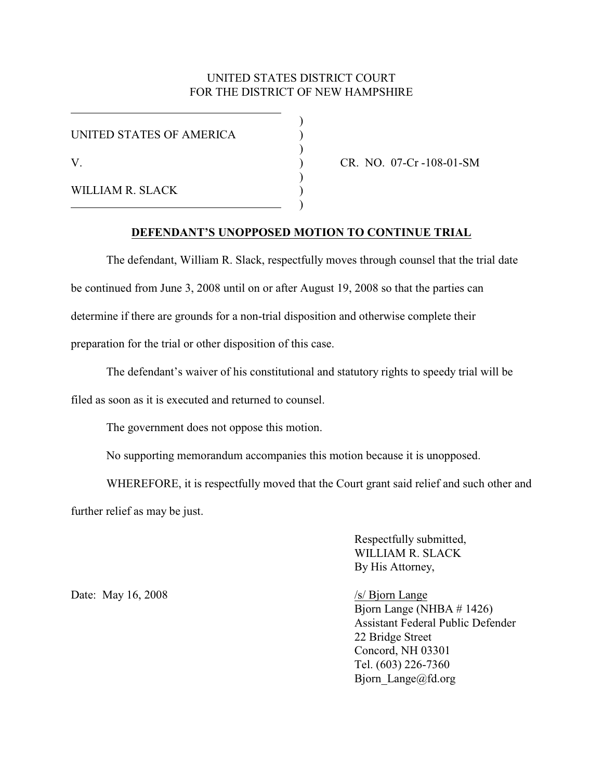## UNITED STATES DISTRICT COURT FOR THE DISTRICT OF NEW HAMPSHIRE

| UNITED STATES OF AMERICA |  |
|--------------------------|--|
| V                        |  |
| WILLIAM R. SLACK         |  |

CR. NO. 07-Cr -108-01-SM

## **DEFENDANT'S UNOPPOSED MOTION TO CONTINUE TRIAL**

The defendant, William R. Slack, respectfully moves through counsel that the trial date be continued from June 3, 2008 until on or after August 19, 2008 so that the parties can determine if there are grounds for a non-trial disposition and otherwise complete their preparation for the trial or other disposition of this case.

The defendant's waiver of his constitutional and statutory rights to speedy trial will be

filed as soon as it is executed and returned to counsel.

The government does not oppose this motion.

No supporting memorandum accompanies this motion because it is unopposed.

WHEREFORE, it is respectfully moved that the Court grant said relief and such other and further relief as may be just.

> Respectfully submitted, WILLIAM R. SLACK By His Attorney,

Date: May 16, 2008 /s/ Bjorn Lange

Bjorn Lange (NHBA # 1426) Assistant Federal Public Defender 22 Bridge Street Concord, NH 03301 Tel. (603) 226-7360 Bjorn Lange@fd.org